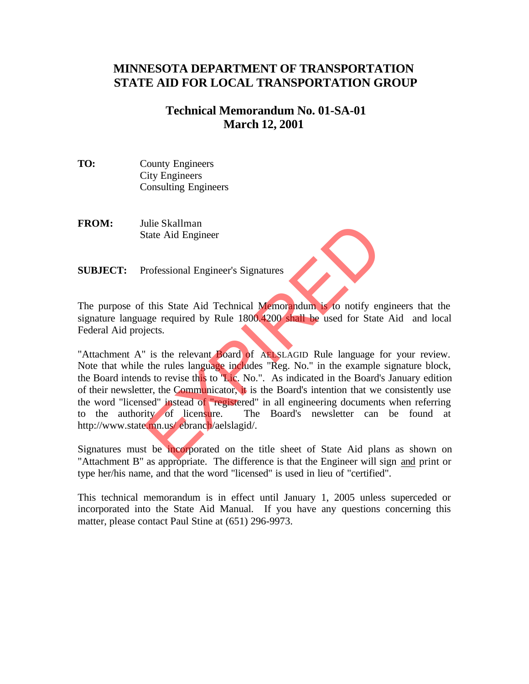# **MINNESOTA DEPARTMENT OF TRANSPORTATION STATE AID FOR LOCAL TRANSPORTATION GROUP**

### **Technical Memorandum No. 01-SA-01 March 12, 2001**

- **TO:** County Engineers City Engineers Consulting Engineers
- **FROM:** Julie Skallman State Aid Engineer
- **SUBJECT:** Professional Engineer's Signatures

The purpose of this State Aid Technical Memorandum is to notify engineers that the signature language required by Rule 1800.4200 shall be used for State Aid and local Federal Aid projects.

"Attachment A" is the relevant Board of AELSLAGID Rule language for your review. Note that while the rules language includes "Reg. No." in the example signature block, the Board intends to revise this to "Lic. No.". As indicated in the Board's January edition of their newsletter, the Communicator, it is the Board's intention that we consistently use the word "licensed" instead of "registered" in all engineering documents when referring to the authority of licensure. The Board's newsletter can be found at http://www.state.mn.us/ ebranch/aelslagid/. The Skallman<br>
The Skallman<br>
The Skallman<br>
The Skale Aid Technical Memorandum is to notify en<br>
The required by Rule 1800.4200 shall be used for State<br>
Jects.<br>
The relevant Board of AB SLAGID Rule language f<br>
the rules langu

Signatures must be incorporated on the title sheet of State Aid plans as shown on "Attachment B" as appropriate. The difference is that the Engineer will sign and print or type her/his name, and that the word "licensed" is used in lieu of "certified".

This technical memorandum is in effect until January 1, 2005 unless superceded or incorporated into the State Aid Manual. If you have any questions concerning this matter, please contact Paul Stine at (651) 296-9973.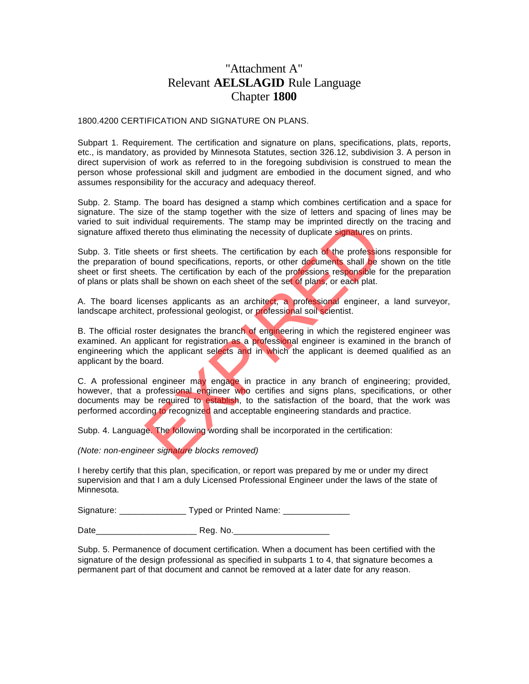## "Attachment A" Relevant **AELSLAGID** Rule Language Chapter **1800**

#### 1800.4200 CERTIFICATION AND SIGNATURE ON PLANS.

Subpart 1. Requirement. The certification and signature on plans, specifications, plats, reports, etc., is mandatory, as provided by Minnesota Statutes, section 326.12, subdivision 3. A person in direct supervision of work as referred to in the foregoing subdivision is construed to mean the person whose professional skill and judgment are embodied in the document signed, and who assumes responsibility for the accuracy and adequacy thereof.

Subp. 2. Stamp. The board has designed a stamp which combines certification and a space for signature. The size of the stamp together with the size of letters and spacing of lines may be varied to suit individual requirements. The stamp may be imprinted directly on the tracing and signature affixed thereto thus eliminating the necessity of duplicate signatures on prints.

Subp. 3. Title sheets or first sheets. The certification by each of the professions responsible for the preparation of bound specifications, reports, or other documents shall be shown on the title sheet or first sheets. The certification by each of the professions responsible for the preparation of plans or plats shall be shown on each sheet of the set of plans, or each plat.

A. The board licenses applicants as an architect, a professional engineer, a land surveyor, landscape architect, professional geologist, or professional soil scientist.

B. The official roster designates the branch of engineering in which the registered engineer was examined. An applicant for registration as a professional engineer is examined in the branch of engineering which the applicant selects and in which the applicant is deemed qualified as an applicant by the board.

C. A professional engineer may engage in practice in any branch of engineering; provided, however, that a professional engineer who certifies and signs plans, specifications, or other documents may be required to establish, to the satisfaction of the board, that the work was performed according to recognized and acceptable engineering standards and practice. Interior thus eliminating the necessity of duplicate signatures of thereto thus eliminating the necessity of duplicate signatures of the profession of the profession of the profession of the profession of the profession of

Subp. 4. Language. The following wording shall be incorporated in the certification:

#### *(Note: non-engineer signature blocks removed)*

I hereby certify that this plan, specification, or report was prepared by me or under my direct supervision and that I am a duly Licensed Professional Engineer under the laws of the state of Minnesota.

Signature: Typed or Printed Name:

Date **Date Reg. No.** 

Subp. 5. Permanence of document certification. When a document has been certified with the signature of the design professional as specified in subparts 1 to 4, that signature becomes a permanent part of that document and cannot be removed at a later date for any reason.